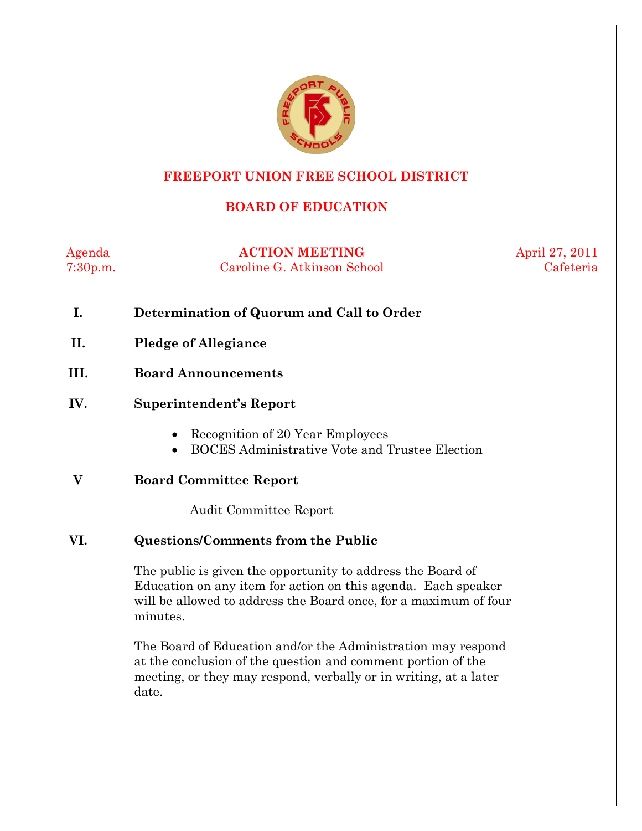

### **FREEPORT UNION FREE SCHOOL DISTRICT**

## **BOARD OF EDUCATION**

Agenda **ACTION MEETING** April 27, 2011 7:30p.m. Caroline G. Atkinson School Cafeteria

- **I. Determination of Quorum and Call to Order**
- **II. Pledge of Allegiance**
- **III. Board Announcements**
- **IV. Superintendent's Report** 
	- Recognition of 20 Year Employees
	- BOCES Administrative Vote and Trustee Election

**V Board Committee Report** 

Audit Committee Report

#### **VI. Questions/Comments from the Public**

The public is given the opportunity to address the Board of Education on any item for action on this agenda. Each speaker will be allowed to address the Board once, for a maximum of four minutes.

The Board of Education and/or the Administration may respond at the conclusion of the question and comment portion of the meeting, or they may respond, verbally or in writing, at a later date.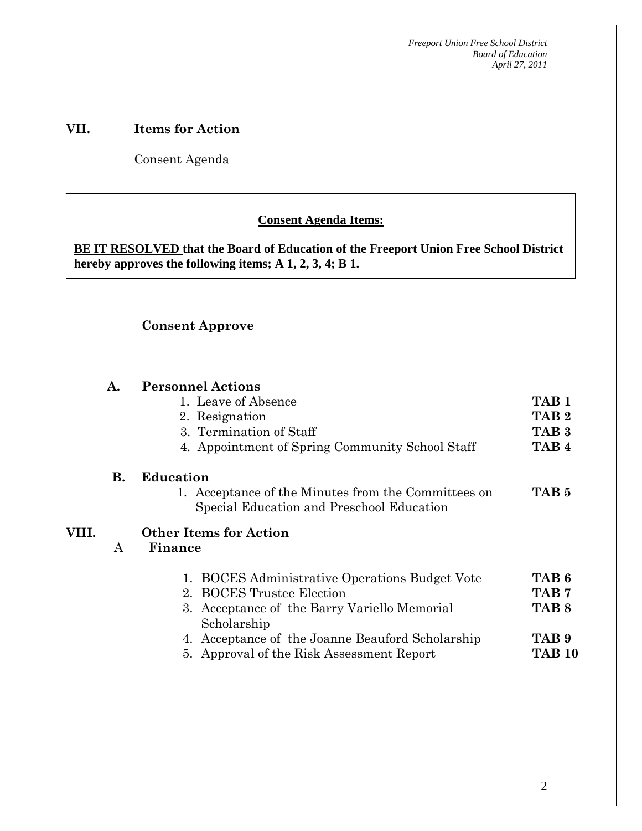*Freeport Union Free School District Board of Education April 27, 2011*

#### **VII. Items for Action**

Consent Agenda

 **AA. Consent - Approve** 

#### **Consent Agenda Items:**

**BE IT RESOLVED that the Board of Education of the Freeport Union Free School District hereby approves the following items; A 1, 2, 3, 4; B 1.** 

#### **Consent Approve**

 *Acceptance of the Minutes*  $\mathbf{A}$ 

#### **A. Personnel Actions**  1. Leave of Absence 2. Resignation 3. Termination of Staff 4. Appointment of Spring Community School Staff **TAB 1 TAB 2 TAB 3 TAB 4 B. Education**  1. Acceptance of the Minutes from the Committees on Special Education and Preschool Education **TAB 5 VIII.**  A **Other Items for Action Finance**  1. BOCES Administrative Operations Budget Vote 2. BOCES Trustee Election 3. Acceptance of the Barry Variello Memorial Scholarship 4. Acceptance of the Joanne Beauford Scholarship 5. Approval of the Risk Assessment Report **TAB 6 TAB 7 TAB 8 TAB 9 TAB 10**